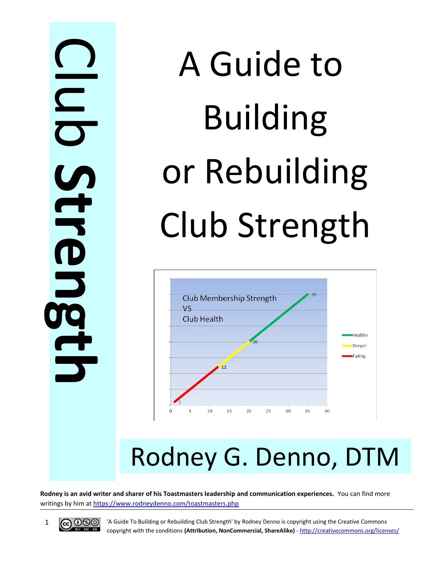$\bigcap$ <u>la serie de la pro</u> **C b S t r e n g t h**

# A Guide to Building or Rebuilding Club Strength



## Rodney G. Denno, DTM

**Rodney is an avid writer and sharer of his Toastmasters leadership and communication experiences.** You can find more writings by him at https://www.rodneydenno.com/toastmasters.php



1 **60 CO** 'A Guide To Building or Rebuilding Club Strength' by Rodney Denno is copyright using the Creative Commons copyright with the conditions **(Attribution, NonCommercial, ShareAlike)** - http://creativecommons.org/licenses/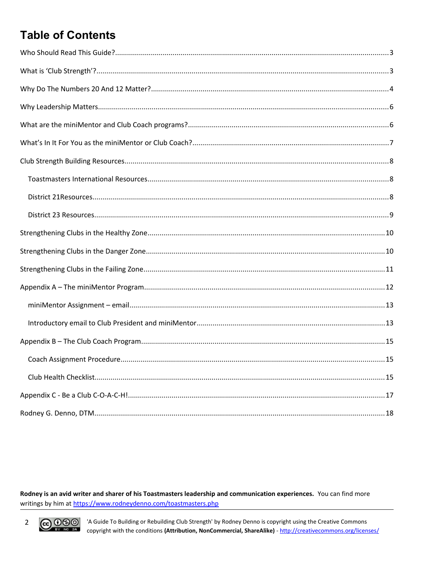### **Table of Contents**

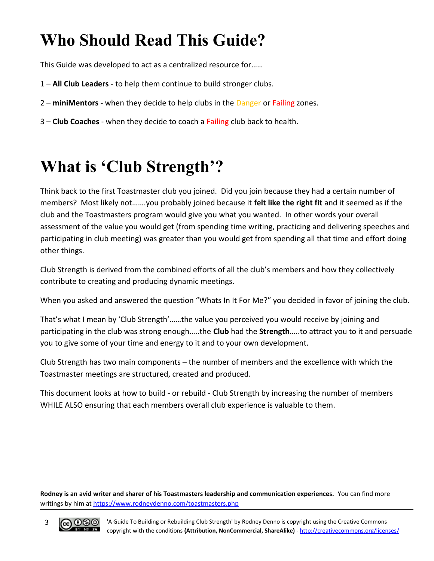### <span id="page-2-1"></span>**Who Should Read This Guide?**

This Guide was developed to act as a centralized resource for……

- 1 **All Club Leaders** to help them continue to build stronger clubs.
- 2 **miniMentors**  when they decide to help clubs in the Danger or Failing zones.
- 3 **Club Coaches** when they decide to coach a Failing club back to health.

### <span id="page-2-0"></span>**What is 'Club Strength'?**

Think back to the first Toastmaster club you joined. Did you join because they had a certain number of members? Most likely not…….you probably joined because it **felt like the right fit** and it seemed as if the club and the Toastmasters program would give you what you wanted. In other words your overall assessment of the value you would get (from spending time writing, practicing and delivering speeches and participating in club meeting) was greater than you would get from spending all that time and effort doing other things.

Club Strength is derived from the combined efforts of all the club's members and how they collectively contribute to creating and producing dynamic meetings.

When you asked and answered the question "Whats In It For Me?" you decided in favor of joining the club.

That's what I mean by 'Club Strength'……the value you perceived you would receive by joining and participating in the club was strong enough…..the **Club** had the **Strength**…..to attract you to it and persuade you to give some of your time and energy to it and to your own development.

Club Strength has two main components – the number of members and the excellence with which the Toastmaster meetings are structured, created and produced.

This document looks at how to build - or rebuild - Club Strength by increasing the number of members WHILE ALSO ensuring that each members overall club experience is valuable to them.

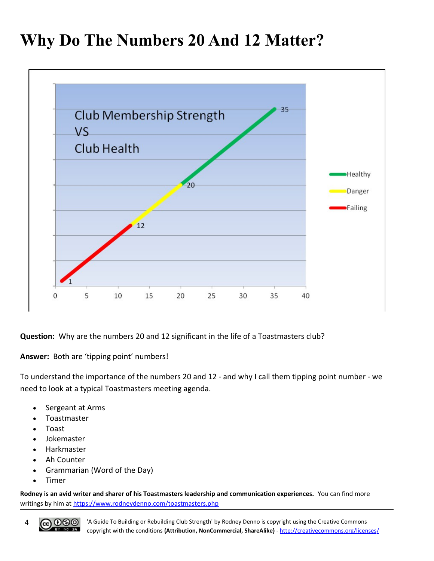### <span id="page-3-0"></span>**Why Do The Numbers 20 And 12 Matter?**



**Question:** Why are the numbers 20 and 12 significant in the life of a Toastmasters club?

**Answer:** Both are 'tipping point' numbers!

To understand the importance of the numbers 20 and 12 - and why I call them tipping point number - we need to look at a typical Toastmasters meeting agenda.

- Sergeant at Arms
- Toastmaster
- Toast
- Jokemaster
- Harkmaster
- Ah Counter
- Grammarian (Word of the Day)
- Timer

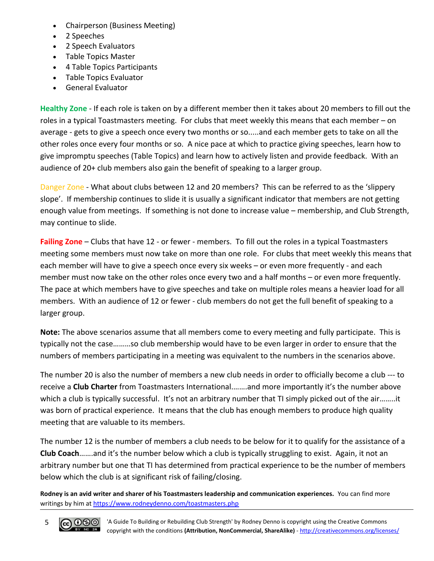- Chairperson (Business Meeting)
- 2 Speeches
- 2 Speech Evaluators
- Table Topics Master
- 4 Table Topics Participants
- Table Topics Evaluator
- General Evaluator

**Healthy Zone** - If each role is taken on by a different member then it takes about 20 members to fill out the roles in a typical Toastmasters meeting. For clubs that meet weekly this means that each member – on average - gets to give a speech once every two months or so.....and each member gets to take on all the other roles once every four months or so. A nice pace at which to practice giving speeches, learn how to give impromptu speeches (Table Topics) and learn how to actively listen and provide feedback. With an audience of 20+ club members also gain the benefit of speaking to a larger group.

Danger Zone - What about clubs between 12 and 20 members? This can be referred to as the 'slippery slope'. If membership continues to slide it is usually a significant indicator that members are not getting enough value from meetings. If something is not done to increase value – membership, and Club Strength, may continue to slide.

**Failing Zone** – Clubs that have 12 - or fewer - members. To fill out the roles in a typical Toastmasters meeting some members must now take on more than one role. For clubs that meet weekly this means that each member will have to give a speech once every six weeks – or even more frequently - and each member must now take on the other roles once every two and a half months – or even more frequently. The pace at which members have to give speeches and take on multiple roles means a heavier load for all members. With an audience of 12 or fewer - club members do not get the full benefit of speaking to a larger group.

**Note:** The above scenarios assume that all members come to every meeting and fully participate. This is typically not the case………so club membership would have to be even larger in order to ensure that the numbers of members participating in a meeting was equivalent to the numbers in the scenarios above.

The number 20 is also the number of members a new club needs in order to officially become a club --- to receive a **Club Charter** from Toastmasters International.…….and more importantly it's the number above which a club is typically successful. It's not an arbitrary number that TI simply picked out of the air........it was born of practical experience. It means that the club has enough members to produce high quality meeting that are valuable to its members.

The number 12 is the number of members a club needs to be below for it to qualify for the assistance of a **Club Coach**…….and it's the number below which a club is typically struggling to exist. Again, it not an arbitrary number but one that TI has determined from practical experience to be the number of members below which the club is at significant risk of failing/closing.

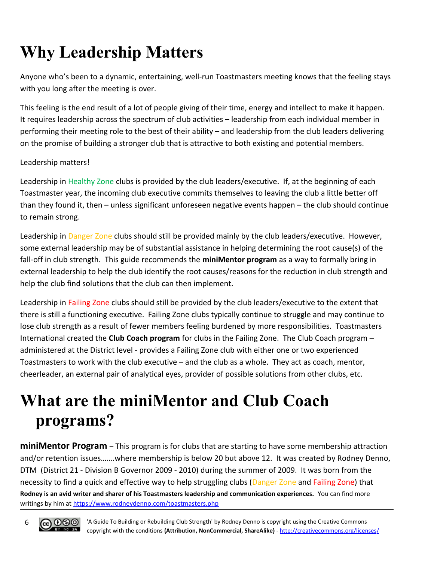### <span id="page-5-1"></span>**Why Leadership Matters**

Anyone who's been to a dynamic, entertaining, well-run Toastmasters meeting knows that the feeling stays with you long after the meeting is over.

This feeling is the end result of a lot of people giving of their time, energy and intellect to make it happen. It requires leadership across the spectrum of club activities – leadership from each individual member in performing their meeting role to the best of their ability – and leadership from the club leaders delivering on the promise of building a stronger club that is attractive to both existing and potential members.

#### Leadership matters!

Leadership in Healthy Zone clubs is provided by the club leaders/executive. If, at the beginning of each Toastmaster year, the incoming club executive commits themselves to leaving the club a little better off than they found it, then – unless significant unforeseen negative events happen – the club should continue to remain strong.

Leadership in Danger Zone clubs should still be provided mainly by the club leaders/executive. However, some external leadership may be of substantial assistance in helping determining the root cause(s) of the fall-off in club strength. This guide recommends the **miniMentor program** as a way to formally bring in external leadership to help the club identify the root causes/reasons for the reduction in club strength and help the club find solutions that the club can then implement.

Leadership in Failing Zone clubs should still be provided by the club leaders/executive to the extent that there is still a functioning executive. Failing Zone clubs typically continue to struggle and may continue to lose club strength as a result of fewer members feeling burdened by more responsibilities. Toastmasters International created the **Club Coach program** for clubs in the Failing Zone. The Club Coach program – administered at the District level - provides a Failing Zone club with either one or two experienced Toastmasters to work with the club executive – and the club as a whole. They act as coach, mentor, cheerleader, an external pair of analytical eyes, provider of possible solutions from other clubs, etc.

### <span id="page-5-0"></span>**What are the miniMentor and Club Coach programs?**

**miniMentor Program** – This program is for clubs that are starting to have some membership attraction and/or retention issues…….where membership is below 20 but above 12. It was created by Rodney Denno, DTM (District 21 - Division B Governor 2009 - 2010) during the summer of 2009. It was born from the necessity to find a quick and effective way to help struggling clubs (Danger Zone and Failing Zone) that **Rodney is an avid writer and sharer of his Toastmasters leadership and communication experiences.** You can find more writings by him at https://www.rodneydenno.com/toastmasters.php

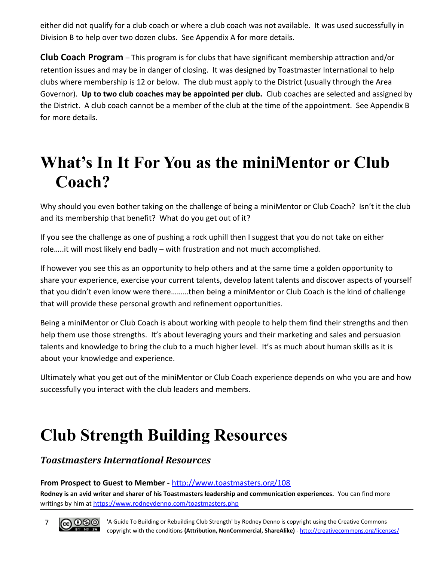either did not qualify for a club coach or where a club coach was not available. It was used successfully in Division B to help over two dozen clubs. See Appendix A for more details.

**Club Coach Program** – This program is for clubs that have significant membership attraction and/or retention issues and may be in danger of closing. It was designed by Toastmaster International to help clubs where membership is 12 or below. The club must apply to the District (usually through the Area Governor). **Up to two club coaches may be appointed per club.** Club coaches are selected and assigned by the District. A club coach cannot be a member of the club at the time of the appointment. See Appendix B for more details.

### <span id="page-6-2"></span>**What's In It For You as the miniMentor or Club Coach?**

Why should you even bother taking on the challenge of being a miniMentor or Club Coach? Isn't it the club and its membership that benefit? What do you get out of it?

If you see the challenge as one of pushing a rock uphill then I suggest that you do not take on either role…..it will most likely end badly – with frustration and not much accomplished.

If however you see this as an opportunity to help others and at the same time a golden opportunity to share your experience, exercise your current talents, develop latent talents and discover aspects of yourself that you didn't even know were there………then being a miniMentor or Club Coach is the kind of challenge that will provide these personal growth and refinement opportunities.

Being a miniMentor or Club Coach is about working with people to help them find their strengths and then help them use those strengths. It's about leveraging yours and their marketing and sales and persuasion talents and knowledge to bring the club to a much higher level. It's as much about human skills as it is about your knowledge and experience.

Ultimately what you get out of the miniMentor or Club Coach experience depends on who you are and how successfully you interact with the club leaders and members.

### <span id="page-6-1"></span>**Club Strength Building Resources**

#### <span id="page-6-0"></span>*Toastmasters International Resources*

#### **From Prospect to Guest to Member -** http://www.toastmasters.org/108

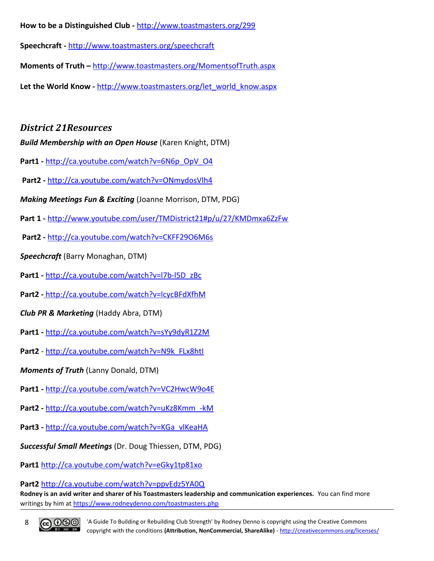**How to be a Distinguished Club -** http://www.toastmasters.org/299

**Speechcraft -** http://www.toastmasters.org/speechcraft

**Moments of Truth –** http://www.toastmasters.org/MomentsofTruth.aspx

Let the World Know - http://www.toastmasters.org/let\_world\_know.aspx

#### <span id="page-7-0"></span>*District 21Resources*

*Build Membership with an Open House* (Karen Knight, DTM)

- Part1 http://ca.youtube.com/watch?v=6N6p\_OpV\_O4
- **Part2** http://ca.youtube.com/watch?v=ONmydosVlh4
- *Making Meetings Fun & Exciting* (Joanne Morrison, DTM, PDG)
- **Part 1** http://www.youtube.com/user/TMDistrict21#p/u/27/KMDmxa6ZzFw
- **Part2** http://ca.youtube.com/watch?v=CKFF29O6M6s
- *Speechcraft* (Barry Monaghan, DTM)
- **Part1** http://ca.youtube.com/watch?v=l7b-l5D\_zBc
- **Part2 -** http://ca.youtube.com/watch?v=lcycBFdXfhM
- *Club PR & Marketing* (Haddy Abra, DTM)
- **Part1** http://ca.youtube.com/watch?v=sYy9dyR1Z2M
- **Part2** http://ca.youtube.com/watch?v=N9k\_FLx8htI
- *Moments of Truth* (Lanny Donald, DTM)
- **Part1** http://ca.youtube.com/watch?v=VC2HwcW9o4E
- **Part2** http://ca.youtube.com/watch?v=uKz8Kmm\_-kM
- Part3 http://ca.youtube.com/watch?v=KGa\_vlKeaHA
- *Successful Small Meetings* (Dr. Doug Thiessen, DTM, PDG)
- **Part1** http://ca.youtube.com/watch?v=eGky1tp81xo

**Part2** http://ca.youtube.com/watch?v=ppvEdz5YA0Q

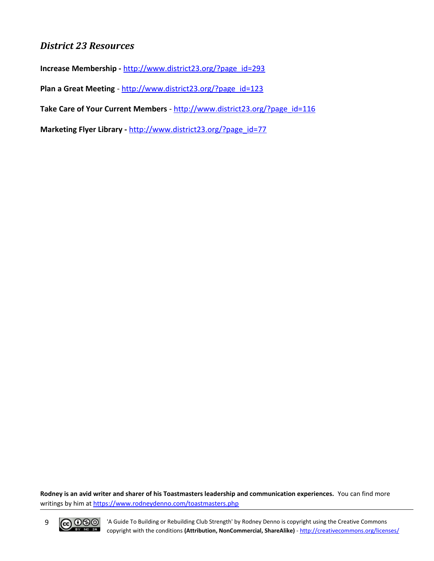#### <span id="page-8-0"></span>*District 23 Resources*

**Increase Membership -** http://www.district23.org/?page\_id=293

Plan a Great Meeting - http://www.district23.org/?page\_id=123

**Take Care of Your Current Members** - http://www.district23.org/?page\_id=116

**Marketing Flyer Library -** http://www.district23.org/?page\_id=77

**Rodney is an avid writer and sharer of his Toastmasters leadership and communication experiences.** You can find more writings by him at https://www.rodneydenno.com/toastmasters.php



9 CC OSO <sup>'A Guide To Building or Rebuilding Club Strength' by Rodney Denno is copyright using the Creative Commons commons copyright with the conditions (Attribution, NonCommercial, ShareAlike) - http://creativecommons.or</sup> copyright with the conditions **(Attribution, NonCommercial, ShareAlike)** - http://creativecommons.org/licenses/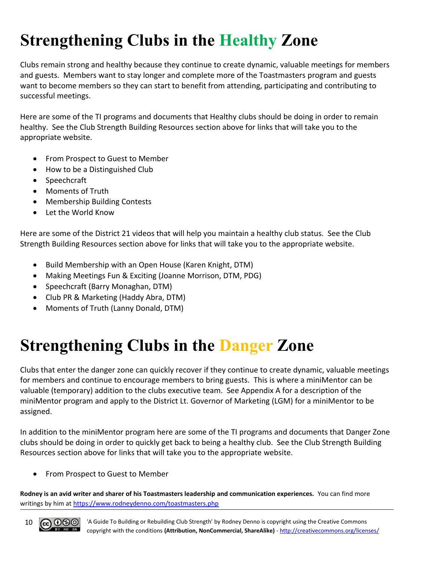### <span id="page-9-1"></span>**Strengthening Clubs in the Healthy Zone**

Clubs remain strong and healthy because they continue to create dynamic, valuable meetings for members and guests. Members want to stay longer and complete more of the Toastmasters program and guests want to become members so they can start to benefit from attending, participating and contributing to successful meetings.

Here are some of the TI programs and documents that Healthy clubs should be doing in order to remain healthy. See the Club Strength Building Resources section above for links that will take you to the appropriate website.

- From Prospect to Guest to Member
- How to be a Distinguished Club
- Speechcraft
- Moments of Truth
- Membership Building Contests
- Let the World Know

Here are some of the District 21 videos that will help you maintain a healthy club status. See the Club Strength Building Resources section above for links that will take you to the appropriate website.

- Build Membership with an Open House (Karen Knight, DTM)
- Making Meetings Fun & Exciting (Joanne Morrison, DTM, PDG)
- Speechcraft (Barry Monaghan, DTM)
- Club PR & Marketing (Haddy Abra, DTM)
- Moments of Truth (Lanny Donald, DTM)

### <span id="page-9-0"></span>**Strengthening Clubs in the Danger Zone**

Clubs that enter the danger zone can quickly recover if they continue to create dynamic, valuable meetings for members and continue to encourage members to bring guests. This is where a miniMentor can be valuable (temporary) addition to the clubs executive team. See Appendix A for a description of the miniMentor program and apply to the District Lt. Governor of Marketing (LGM) for a miniMentor to be assigned.

In addition to the miniMentor program here are some of the TI programs and documents that Danger Zone clubs should be doing in order to quickly get back to being a healthy club. See the Club Strength Building Resources section above for links that will take you to the appropriate website.

• From Prospect to Guest to Member

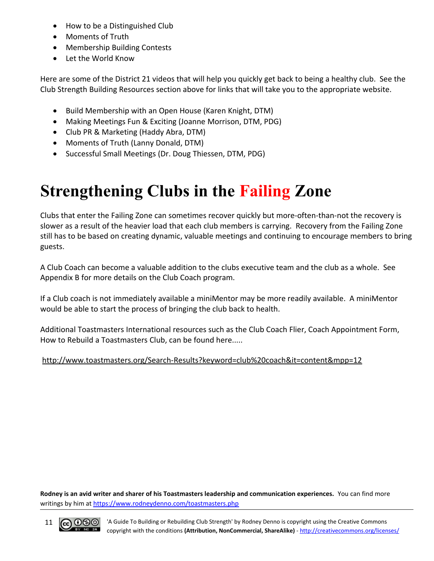- How to be a Distinguished Club
- Moments of Truth
- Membership Building Contests
- Let the World Know

Here are some of the District 21 videos that will help you quickly get back to being a healthy club. See the Club Strength Building Resources section above for links that will take you to the appropriate website.

- Build Membership with an Open House (Karen Knight, DTM)
- Making Meetings Fun & Exciting (Joanne Morrison, DTM, PDG)
- Club PR & Marketing (Haddy Abra, DTM)
- Moments of Truth (Lanny Donald, DTM)
- Successful Small Meetings (Dr. Doug Thiessen, DTM, PDG)

### <span id="page-10-0"></span>**Strengthening Clubs in the Failing Zone**

Clubs that enter the Failing Zone can sometimes recover quickly but more-often-than-not the recovery is slower as a result of the heavier load that each club members is carrying. Recovery from the Failing Zone still has to be based on creating dynamic, valuable meetings and continuing to encourage members to bring guests.

A Club Coach can become a valuable addition to the clubs executive team and the club as a whole. See Appendix B for more details on the Club Coach program.

If a Club coach is not immediately available a miniMentor may be more readily available. A miniMentor would be able to start the process of bringing the club back to health.

Additional Toastmasters International resources such as the Club Coach Flier, Coach Appointment Form, How to Rebuild a Toastmasters Club, can be found here.....

#### http://www.toastmasters.org/Search-Results?keyword=club%20coach&it=content&mpp=12

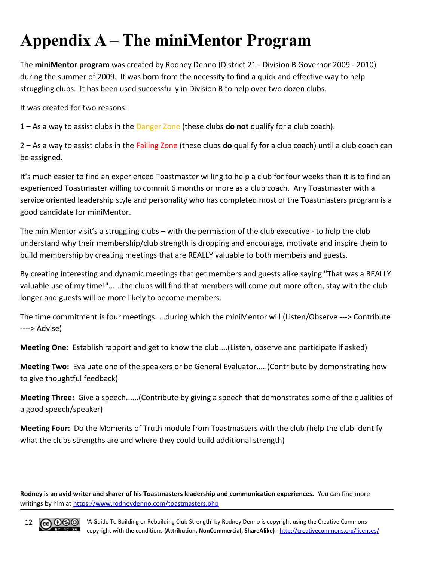### <span id="page-11-0"></span>**Appendix A – The miniMentor Program**

The **miniMentor program** was created by Rodney Denno (District 21 - Division B Governor 2009 - 2010) during the summer of 2009. It was born from the necessity to find a quick and effective way to help struggling clubs. It has been used successfully in Division B to help over two dozen clubs.

It was created for two reasons:

1 – As a way to assist clubs in the Danger Zone (these clubs **do not** qualify for a club coach).

2 – As a way to assist clubs in the Failing Zone (these clubs **do** qualify for a club coach) until a club coach can be assigned.

It's much easier to find an experienced Toastmaster willing to help a club for four weeks than it is to find an experienced Toastmaster willing to commit 6 months or more as a club coach. Any Toastmaster with a service oriented leadership style and personality who has completed most of the Toastmasters program is a good candidate for miniMentor.

The miniMentor visit's a struggling clubs – with the permission of the club executive - to help the club understand why their membership/club strength is dropping and encourage, motivate and inspire them to build membership by creating meetings that are REALLY valuable to both members and guests.

By creating interesting and dynamic meetings that get members and guests alike saying "That was a REALLY valuable use of my time!"......the clubs will find that members will come out more often, stay with the club longer and guests will be more likely to become members.

The time commitment is four meetings.....during which the miniMentor will (Listen/Observe ---> Contribute ----> Advise)

**Meeting One:** Establish rapport and get to know the club....(Listen, observe and participate if asked)

**Meeting Two:** Evaluate one of the speakers or be General Evaluator.....(Contribute by demonstrating how to give thoughtful feedback)

**Meeting Three:** Give a speech......(Contribute by giving a speech that demonstrates some of the qualities of a good speech/speaker)

**Meeting Four:** Do the Moments of Truth module from Toastmasters with the club (help the club identify what the clubs strengths are and where they could build additional strength)

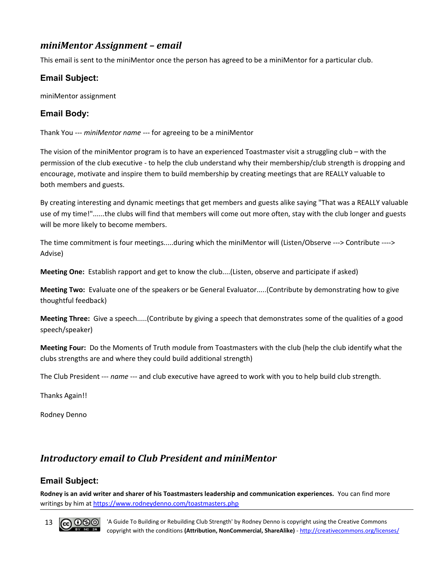#### <span id="page-12-1"></span>*miniMentor Assignment – email*

This email is sent to the miniMentor once the person has agreed to be a miniMentor for a particular club.

#### **Email Subject:**

miniMentor assignment

#### **Email Body:**

Thank You --- *miniMentor name* --- for agreeing to be a miniMentor

The vision of the miniMentor program is to have an experienced Toastmaster visit a struggling club – with the permission of the club executive - to help the club understand why their membership/club strength is dropping and encourage, motivate and inspire them to build membership by creating meetings that are REALLY valuable to both members and guests.

By creating interesting and dynamic meetings that get members and guests alike saying "That was a REALLY valuable use of my time!"......the clubs will find that members will come out more often, stay with the club longer and guests will be more likely to become members.

The time commitment is four meetings.....during which the miniMentor will (Listen/Observe ---> Contribute ----> Advise)

**Meeting One:** Establish rapport and get to know the club....(Listen, observe and participate if asked)

**Meeting Two:** Evaluate one of the speakers or be General Evaluator.....(Contribute by demonstrating how to give thoughtful feedback)

**Meeting Three:** Give a speech.....(Contribute by giving a speech that demonstrates some of the qualities of a good speech/speaker)

**Meeting Four:** Do the Moments of Truth module from Toastmasters with the club (help the club identify what the clubs strengths are and where they could build additional strength)

The Club President --- *name* --- and club executive have agreed to work with you to help build club strength.

Thanks Again!!

Rodney Denno

#### <span id="page-12-0"></span>*Introductory email to Club President and miniMentor*

#### **Email Subject:**

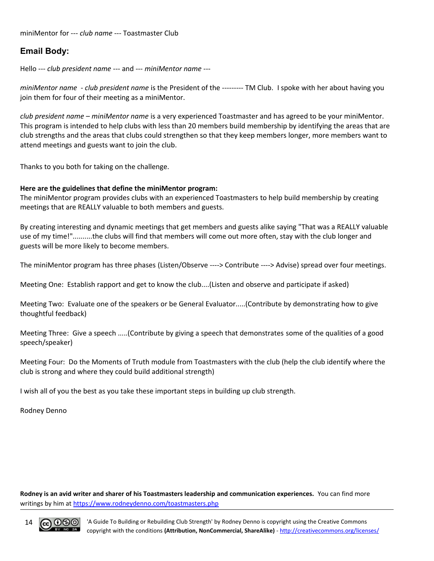#### **Email Body:**

Hello --- *club president name* --- and --- *miniMentor name* ---

*miniMentor name* - *club president name* is the President of the --------- TM Club. I spoke with her about having you join them for four of their meeting as a miniMentor.

*club president name* – *miniMentor name* is a very experienced Toastmaster and has agreed to be your miniMentor. This program is intended to help clubs with less than 20 members build membership by identifying the areas that are club strengths and the areas that clubs could strengthen so that they keep members longer, more members want to attend meetings and guests want to join the club.

Thanks to you both for taking on the challenge.

#### **Here are the guidelines that define the miniMentor program:**

The miniMentor program provides clubs with an experienced Toastmasters to help build membership by creating meetings that are REALLY valuable to both members and guests.

By creating interesting and dynamic meetings that get members and guests alike saying "That was a REALLY valuable use of my time!"..........the clubs will find that members will come out more often, stay with the club longer and guests will be more likely to become members.

The miniMentor program has three phases (Listen/Observe ----> Contribute ----> Advise) spread over four meetings.

Meeting One: Establish rapport and get to know the club....(Listen and observe and participate if asked)

Meeting Two: Evaluate one of the speakers or be General Evaluator.....(Contribute by demonstrating how to give thoughtful feedback)

Meeting Three: Give a speech .....(Contribute by giving a speech that demonstrates some of the qualities of a good speech/speaker)

Meeting Four: Do the Moments of Truth module from Toastmasters with the club (help the club identify where the club is strong and where they could build additional strength)

I wish all of you the best as you take these important steps in building up club strength.

Rodney Denno

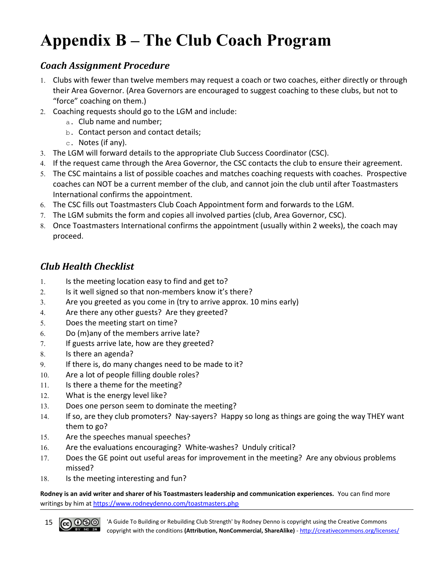### <span id="page-14-2"></span>**Appendix B – The Club Coach Program**

#### <span id="page-14-1"></span>*Coach Assignment Procedure*

- 1. Clubs with fewer than twelve members may request a coach or two coaches, either directly or through their Area Governor. (Area Governors are encouraged to suggest coaching to these clubs, but not to "force" coaching on them.)
- 2. Coaching requests should go to the LGM and include:
	- a. Club name and number;
	- b. Contact person and contact details;
	- c. Notes (if any).
- 3. The LGM will forward details to the appropriate Club Success Coordinator (CSC).
- 4. If the request came through the Area Governor, the CSC contacts the club to ensure their agreement.
- 5. The CSC maintains a list of possible coaches and matches coaching requests with coaches. Prospective coaches can NOT be a current member of the club, and cannot join the club until after Toastmasters International confirms the appointment.
- 6. The CSC fills out Toastmasters Club Coach Appointment form and forwards to the LGM.
- 7. The LGM submits the form and copies all involved parties (club, Area Governor, CSC).
- 8. Once Toastmasters International confirms the appointment (usually within 2 weeks), the coach may proceed.

#### <span id="page-14-0"></span>*Club Health Checklist*

- 1. Is the meeting location easy to find and get to?
- 2. Is it well signed so that non-members know it's there?
- 3. Are you greeted as you come in (try to arrive approx. 10 mins early)
- 4. Are there any other guests? Are they greeted?
- 5. Does the meeting start on time?
- 6. Do (m)any of the members arrive late?
- 7. If guests arrive late, how are they greeted?
- 8. Is there an agenda?
- 9. If there is, do many changes need to be made to it?
- 10. Are a lot of people filling double roles?
- 11. Is there a theme for the meeting?
- 12. What is the energy level like?
- 13. Does one person seem to dominate the meeting?
- 14. If so, are they club promoters? Nay-sayers? Happy so long as things are going the way THEY want them to go?
- 15. Are the speeches manual speeches?
- 16. Are the evaluations encouraging? White-washes? Unduly critical?
- 17. Does the GE point out useful areas for improvement in the meeting? Are any obvious problems missed?
- 18. Is the meeting interesting and fun?

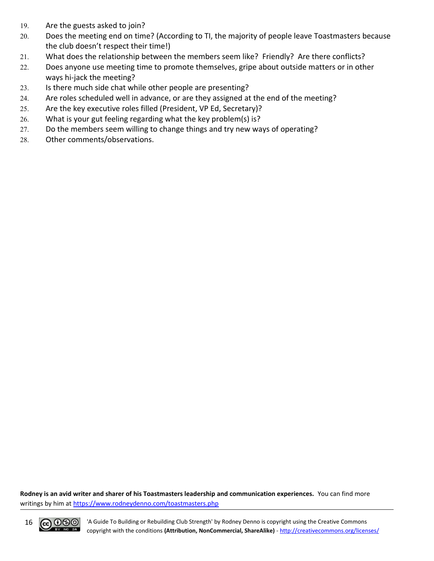- 19. Are the guests asked to join?
- 20. Does the meeting end on time? (According to TI, the majority of people leave Toastmasters because the club doesn't respect their time!)
- 21. What does the relationship between the members seem like? Friendly? Are there conflicts?
- 22. Does anyone use meeting time to promote themselves, gripe about outside matters or in other ways hi-jack the meeting?
- 23. Is there much side chat while other people are presenting?
- 24. Are roles scheduled well in advance, or are they assigned at the end of the meeting?
- 25. Are the key executive roles filled (President, VP Ed, Secretary)?
- 26. What is your gut feeling regarding what the key problem(s) is?
- 27. Do the members seem willing to change things and try new ways of operating?
- 28. Other comments/observations.

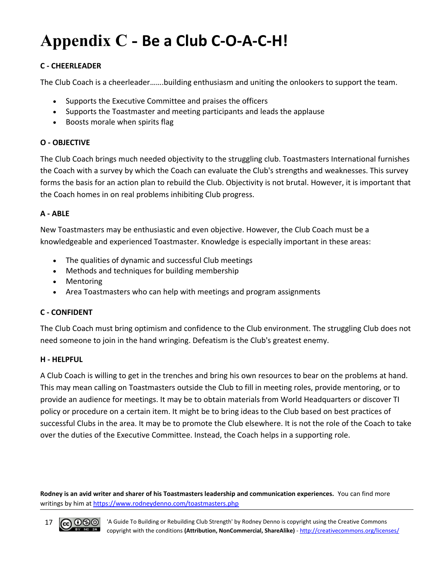### <span id="page-16-0"></span>**Appendix C - Be a Club C-O-A-C-H!**

#### **C - CHEERLEADER**

The Club Coach is a cheerleader…….building enthusiasm and uniting the onlookers to support the team.

- Supports the Executive Committee and praises the officers
- Supports the Toastmaster and meeting participants and leads the applause
- Boosts morale when spirits flag

#### **O - OBJECTIVE**

The Club Coach brings much needed objectivity to the struggling club. Toastmasters International furnishes the Coach with a survey by which the Coach can evaluate the Club's strengths and weaknesses. This survey forms the basis for an action plan to rebuild the Club. Objectivity is not brutal. However, it is important that the Coach homes in on real problems inhibiting Club progress.

#### **A - ABLE**

New Toastmasters may be enthusiastic and even objective. However, the Club Coach must be a knowledgeable and experienced Toastmaster. Knowledge is especially important in these areas:

- The qualities of dynamic and successful Club meetings
- Methods and techniques for building membership
- Mentoring
- Area Toastmasters who can help with meetings and program assignments

#### **C - CONFIDENT**

The Club Coach must bring optimism and confidence to the Club environment. The struggling Club does not need someone to join in the hand wringing. Defeatism is the Club's greatest enemy.

#### **H - HELPFUL**

A Club Coach is willing to get in the trenches and bring his own resources to bear on the problems at hand. This may mean calling on Toastmasters outside the Club to fill in meeting roles, provide mentoring, or to provide an audience for meetings. It may be to obtain materials from World Headquarters or discover TI policy or procedure on a certain item. It might be to bring ideas to the Club based on best practices of successful Clubs in the area. It may be to promote the Club elsewhere. It is not the role of the Coach to take over the duties of the Executive Committee. Instead, the Coach helps in a supporting role.